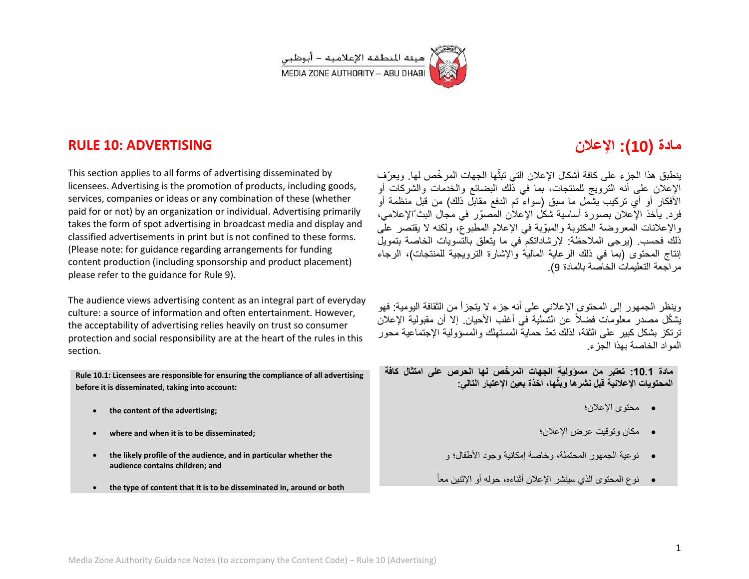

## **RULE 10: ADVERTISING**

This section applies to all forms of advertising disseminated by licensees. Advertising is the promotion of products, including goods, services, companies or ideas or any combination of these (whether paid for or not) by an organization or individual. Advertising primarily takes the form of spot advertising in broadcast media and display and classified advertisements in print but is not confined to these forms. (Please note: for guidance regarding arrangements for funding content production (including sponsorship and product placement) please refer to the guidance for Rule 9).

The audience views advertising content as an integral part of everyday culture: a source of information and often entertainment. However, the acceptability of advertising relies heavily on trust so consumer protection and social responsibility are at the heart of the rules in this section.

**Rule 10.1: Licensees are responsible for ensuring the compliance of all advertising before it is disseminated, taking into account:** 

- **the content of the advertising;**
- **where and when it is to be disseminated;**
- **the likely profile of the audience, and in particular whether the audience contains children; and**
- **the type of content that it is to be disseminated in, around or both**

# **مادة )01(: اإلعالن**

بنطبق هذا الجز ء على كافة أشكال الإعلان التي تبثُّها الجهات المر خّص لها. ويعرّ ف الإعلان على أنه الترويج للمنتجات، بما في ذلك البضائع والخدمات والشركات أو الأفكار أو أي تركيب يشمل ما سبق (سواء تم الدفع مقابل ذلك) من قبل منظمة أو فر د. يأخذ الإعلان بصورة أساسية شكل الإعلان المصوّر ً في مجال البثّ الإعلامي، والإعلانات المعروضة المكتوبة والمبوِّبة في الإعلام المطبوع، ولكنه لا بقتصر علَّى ذلك فحسب. (برجى الملاحظة: لإرشاداتكم في ما يتعلق بالتسويات الخاصة بتمويل إنتاج المحتوى (بما في ذلك الرعاية الماليّة والإشارة الترويجية للمنتجات)، الرجاء مر اجعة التعليمات الخاصية بالمادة 9).

وينظر الجمهور إلى المحتوى الإعلاني على أنه جزء لا يتجزأ من الثقافة اليومية: فهو بشكّل مصدر معلومات فضلاً عن التسلّلة في أغلب الأحبان. إلا أن مقبولية الإعلان تر تكز بشكل كبير على الثقة، لذلك تعدّ حماية المستهلك والمسؤولية الإجتماعية محور المواد الخاصة بهذا الجزء.

**مادة :1.01 تعتبر من مسؤولٌة الجهات المر ّخص لها الحرص على امتثال كافة المحتوٌات اإلعالنٌة قبل نشرها وبثّها، آخذة بعٌن اإلعتبار التال:ً**

- محتوى اإلعالن؛
- مكان وتوقٌت عرض اإلعالن؛
- نو عية الجمهور المحتملة، و خاصـة إمكانية وجود الأطفال؛ و
- نوع المحتوى الذي سٌنشر اإلعالن أثناءه، حوله أو اإلثنٌن معاً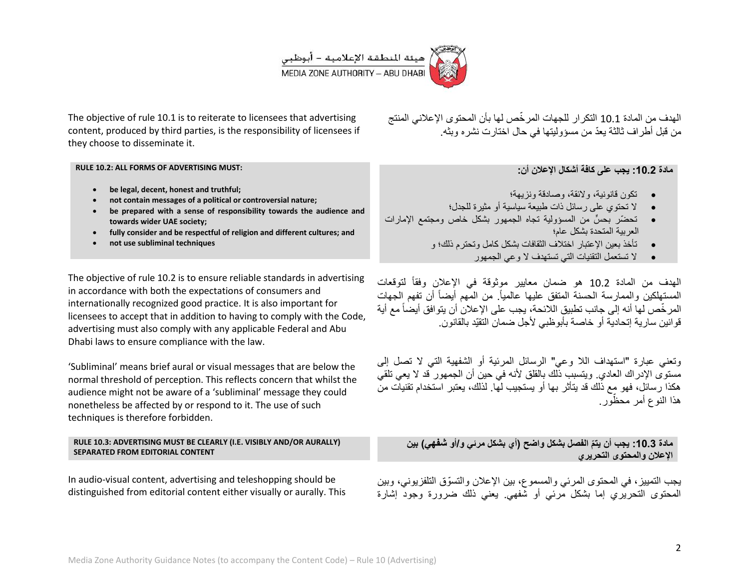

The objective of rule 10.1 is to reiterate to licensees that advertising content, produced by third parties, is the responsibility of licensees if they choose to disseminate it.

#### **RULE 10.2: ALL FORMS OF ADVERTISING MUST:**

- **be legal, decent, honest and truthful;**
- **not contain messages of a political or controversial nature;**
- **be prepared with a sense of responsibility towards the audience and towards wider UAE society;**
- **fully consider and be respectful of religion and different cultures; and**
- **not use subliminal techniques**

The objective of rule 10.2 is to ensure reliable standards in advertising in accordance with both the expectations of consumers and internationally recognized good practice. It is also important for licensees to accept that in addition to having to comply with the Code, advertising must also comply with any applicable Federal and Abu Dhabi laws to ensure compliance with the law.

'Subliminal' means brief aural or visual messages that are below the normal threshold of perception. This reflects concern that whilst the audience might not be aware of a 'subliminal' message they could nonetheless be affected by or respond to it. The use of such techniques is therefore forbidden.

#### **RULE 10.3: ADVERTISING MUST BE CLEARLY (I.E. VISIBLY AND/OR AURALLY) SEPARATED FROM EDITORIAL CONTENT**

In audio-visual content, advertising and teleshopping should be distinguished from editorial content either visually or aurally. This الهدف من المادة 10.1 التكرار للجهات المرخّص لها بأن المحتوى الإعلاني المنتج من قبل أطر اف ثالثة يعدّ من مسؤوليتها في حال اختارت نشره وبثه.

### **مادة :1.01 ٌجب على كافة أشكال اإلعالن أن:**

- تكون قانونية، والإئقة، وصادقة ونز بهة؛
- الا تحتوي على رسائل ذات طبيعة سباسية أو مثير ة للجدل؛
- تحضّر بحسٍّ من المسؤولية تجاه الجمهور بشكل خاص ومجتمع الإمارات العربٌة المتحدة بشكل عام؛
	- تأخذ بعين الإعتبار اختلاف الثقافات بشكل كامل وتحترم ذلك؛ و
		- الا تستعمل التقنيات التي تستهدف لا و عي الجمهور

المهدف من المادة 10.2 هو ضمان معايير موثوقة في الإعلان وفقاً لتوقعات المستهلكين والممارسة الحسنة المتفق عليها عالمياً<sub>.</sub> من المهم أيضاً أن تفهم الجهات المر خّص لها أنه إلى جانب تطبيق اللائحة، يجب على الإعلان أن يتوافق أيضاً مع أية قوانين سارية إتحادية أو خاصة بأبوظبي لأجل ضمان التقيّد بالقانون.

وتعني عبارة "استهداف اللا وعي" الرسائل المرئية أو الشفهية التي لا تصل إلى مستوى الإدر اك العادي. ويتسبب ذلك بالقلق لأنه في حين أن الجمهور آقد لا يعي تلقي هكذا رسائل، فهو مع ذلك قد يتأثر بها أو يستجيب لها. لذلك، يعتبر استخدام تقنيات من هذا النوع أمر محظّور .

**ّم الفصل بشكل واضح )أي بشكل مرئً و/أو شفهً( بٌن مادة :1.01 ٌجب أن ٌت اإلعالن والمحتوى التحرٌري**

يجب التمييز ، في المحتوى المرئي والمسموع، بين الإعلان والتسوّق التلفزيوني، وبين المحتوى التحريري إما بشكل مرئي أو شفهي. يعني ذلك ضرورة وجود إشارة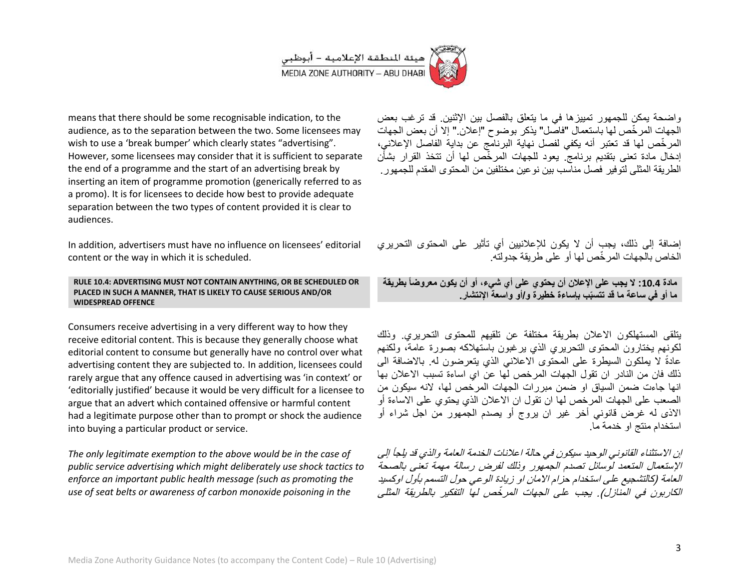

means that there should be some recognisable indication, to the audience, as to the separation between the two. Some licensees may wish to use a 'break bumper' which clearly states "advertising". However, some licensees may consider that it is sufficient to separate the end of a programme and the start of an advertising break by inserting an item of programme promotion (generically referred to as a promo). It is for licensees to decide how best to provide adequate separation between the two types of content provided it is clear to audiences.

In addition, advertisers must have no influence on licensees' editorial content or the way in which it is scheduled.

RULE 10.4: ADVERTISING MUST NOT CONTAIN ANYTHING, OR BE SCHEDULED OR PLACED IN SUCH A MANNER, THAT IS LIKELY TO CAUSE SERIOUS AND/OR **WIDESPREAD OFFENCE** 

Consumers receive advertising in a very different way to how they receive editorial content. This is because they generally choose what editorial content to consume but generally have no control over what advertising content they are subjected to. In addition, licensees could rarely argue that any offence caused in advertising was 'in context' or 'editorially justified' because it would be very difficult for a licensee to argue that an advert which contained offensive or harmful content had a legitimate purpose other than to prompt or shock the audience into buying a particular product or service.

The only legitimate exemption to the above would be in the case of public service advertising which might deliberately use shock tactics to enforce an important public health message (such as promoting the use of seat belts or awareness of carbon monoxide poisoning in the

واضحة بمكن للجمهور تمييز ها في ما يتعلق بالفصل بين الإثنين. قد تر غب بعض الجهات المرخِّص لها باستعمال "فاصَّل" يذكر بوضوح "إعلان " إلا أن بعض الجهات المرخِّص لها قد تعتبر أنه يكفي لفصل نهاية البرنامج عن بداية الفاصل الإعلاني، إدخال مادة تعني بتقديم برنامج ً يعود للجهات المرخَّص لها أن تتخذ القرار بشأَّن الطريقة المثلي لتوفير. فصل مناسب بين نو عين مختلفين من المحتوى المقدم للجمهور .

إضافة إلى ذلك، بجب أن لا بكون للاعلانيين أي تأثير ٍ على المحتوى التحرير ي الخاص بالجهات المر خّص لها أو على طر يقة جدو لته.

مادة 10.4: لا يجب على الإعلان أن يحتوي على أي شيء، أو أن يكون معروضاً بطريقة ما أو في ساعة ما قد تتسبّب باساءة خطيرة و اأو واسعة الانتشار .

بتلقى المستهلكون الإعلان بطريقة مختلفة عن تلقبهم للمحتوى التحريري وذلك لكونهم يختارون المحتوى التحريري الذي يرغبون باستهلاكه بصورة عامة، ولكنهم عادةً لا يملكون السيطرة على المحتوى الاعلاني الذي يتعرضون له بالاضافة الى ذلك فان من النادر ان تقول الجهات المرخص لها عن اي اساءة تسبب الاعلان بها انها جاءت ضمن السياق او ضمن مبر رات الجهات المر خص لها، لانه سيكون من الصعب على الجهات المرخص لها ان تقول ان الاعلان الذي يحتوي على الاساءة أو الاذي له غرض قانوني أخر غير ان يروج أو يصدم الجمهور من اجل شراء أو استخدام منتج او خدمة ما

إن الاستثناء القانوني الوحيد سيكون في حالة اعلانات الخدمة العامة والذي قد يلجأ إلى الإستعمال المتعمد لوسائل تصدم الجمهور وذلك لفرض رسالة مهمة تعنى بالصحة العامة (كالتشجيع على استخدام حزام الإمان او زيادة الوعي حول التسمم بأول اوكسيد الكاربونُ في المنازل). يجب على الجهات المرخِّص لها التفكير بالطريقة المثلي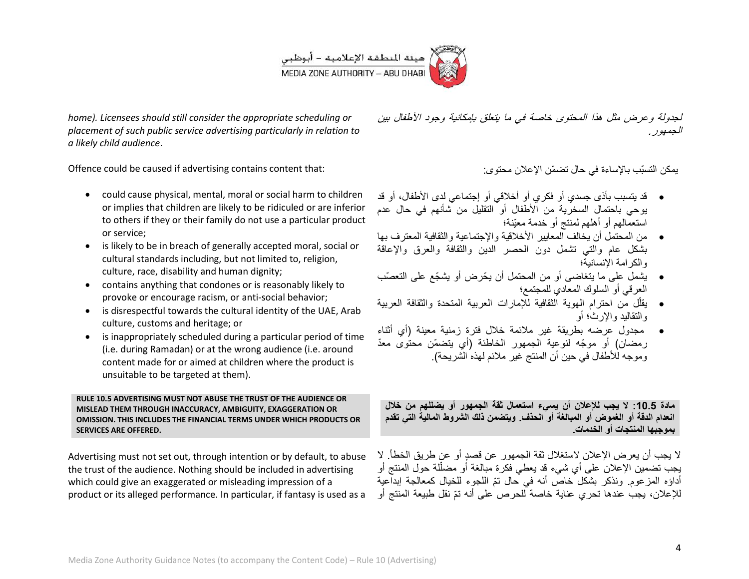

*home). Licensees should still consider the appropriate scheduling or placement of such public service advertising particularly in relation to a likely child audience*.

Offence could be caused if advertising contains content that:

- could cause physical, mental, moral or social harm to children or implies that children are likely to be ridiculed or are inferior to others if they or their family do not use a particular product or service;
- is likely to be in breach of generally accepted moral, social or cultural standards including, but not limited to, religion, culture, race, disability and human dignity;
- contains anything that condones or is reasonably likely to provoke or encourage racism, or anti-social behavior;
- is disrespectful towards the cultural identity of the UAE, Arab culture, customs and heritage; or
- is inappropriately scheduled during a particular period of time (i.e. during Ramadan) or at the wrong audience (i.e. around content made for or aimed at children where the product is unsuitable to be targeted at them).

**RULE 10.5 ADVERTISING MUST NOT ABUSE THE TRUST OF THE AUDIENCE OR MISLEAD THEM THROUGH INACCURACY, AMBIGUITY, EXAGGERATION OR OMISSION. THIS INCLUDES THE FINANCIAL TERMS UNDER WHICH PRODUCTS OR SERVICES ARE OFFERED.**

Advertising must not set out, through intention or by default, to abuse the trust of the audience. Nothing should be included in advertising which could give an exaggerated or misleading impression of a product or its alleged performance. In particular, if fantasy is used as a

لجدولة وعرض مثل هذا المحتوى خاصة في ما بتعلق بإمكانية وجود الأطفال بين الجمهور.

يمكن التسبّب بالإساءة في حال تضمّن الإعلان محتوى:

- قد يتسبب بأذى جسدي أو فكري أو أخلاقي أو إجتماعي لدى الأطفال، أو قد يوحى باحتمال السخرية من الأطفال أو التقليل من شأنهم في حال عدم استعمالهم أو أهلهم لمنتج أو خدمة معٌّنة؛
- من المحتمل أن بخالف المعايير الأخلاقية والإجتماعية والثقافية المعترف بها بشكل عام والتبي تشمل دون الحصر الدين والثقافة والعرق والإعاقة والكرامة اإلنسانٌة؛
- ٌشمل على ما ٌتغاضى أو من المحتمل أن ٌحّرض أو ٌشجّع على التعصّب العرقي أو السلوك المعادي للمجتمع؛
- يقلّل من احترام الهوية الثقافية للإمارات العربية المتحدة والثقافة العربية والتقالٌد واإلرث؛ أو
- مجدول عرضه بطرٌقة غٌر مالئمة خالل فترة زمنٌة معٌنة )أي أثناء ر مضان) أو موجّه لنوعية الجمهور الخاطئة (أي بتضمّن محتوى معدّ وموجه للأطفال في حين أن المنتج غير ملائم لهذه الشريحة).

**مادة :1.01 ال ٌجب لإلعالن أن ٌسًء استعمال ثقة الجمهور أو ٌضللهم من خالل**  انعدام الدقة أو الغموض أو المبالغة أو الحذف. ويتضمن ذلك الشروط المالية الت*ي* تقدم **بموجبها المنتجات أو الخدمات** 

لا يجب أن يعرض الإعلان لاستغلال ثقة الجمهور عن قصدٍ أو عن طريق الخطأ. لا يجب تضمين الإعلان على أي شيء قد يعطي فكرة مبالغة أو مضلَّلة حول المنتج أو ĺ أداؤه المزعوم. ونذكر بشكل خاص أنه في حال تمّ اللجوء للخيال كمعالجة إبداعية للإعلان، يجب عندها تحر ي عناية خاصة للحرص على أنه تمّ نقل طبيعة المنتج أو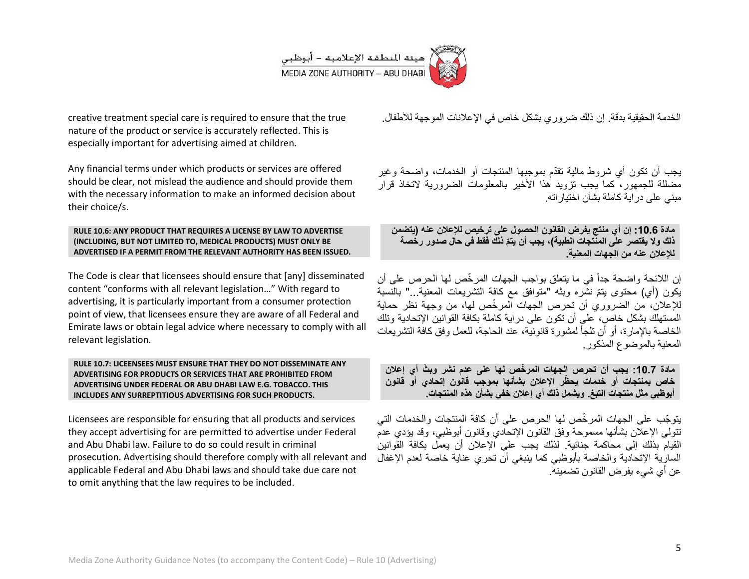

creative treatment special care is required to ensure that the true nature of the product or service is accurately reflected. This is especially important for advertising aimed at children.

Any financial terms under which products or services are offered should be clear, not mislead the audience and should provide them with the necessary information to make an informed decision about their choice/s.

#### **RULE 10.6: ANY PRODUCT THAT REQUIRES A LICENSE BY LAW TO ADVERTISE (INCLUDING, BUT NOT LIMITED TO, MEDICAL PRODUCTS) MUST ONLY BE ADVERTISED IF A PERMIT FROM THE RELEVANT AUTHORITY HAS BEEN ISSUED.**

The Code is clear that licensees should ensure that [any] disseminated content "conforms with all relevant legislation…" With regard to advertising, it is particularly important from a consumer protection point of view, that licensees ensure they are aware of all Federal and Emirate laws or obtain legal advice where necessary to comply with all relevant legislation.

#### **RULE 10.7: LICEENSEES MUST ENSURE THAT THEY DO NOT DISSEMINATE ANY ADVERTISING FOR PRODUCTS OR SERVICES THAT ARE PROHIBITED FROM ADVERTISING UNDER FEDERAL OR ABU DHABI LAW E.G. TOBACCO. THIS INCLUDES ANY SURREPTITIOUS ADVERTISING FOR SUCH PRODUCTS.**

Licensees are responsible for ensuring that all products and services they accept advertising for are permitted to advertise under Federal and Abu Dhabi law. Failure to do so could result in criminal prosecution. Advertising should therefore comply with all relevant and applicable Federal and Abu Dhabi laws and should take due care not to omit anything that the law requires to be included.

الخدمة الحقيقية بدقة. إن ذلك ضرور ي بشكل خاص في الإعلانات الموجهة للأطفال.

يجب أن تكون أي شروط مالية تقدّم بموجبها المنتجات أو الخدمات، واضحة وغير مضللة للجمهور، كما بجب تزويد هذا الأخير بالمعلومات الضرورية لاتخاذ قرار مبني على در اية كاملة بشأن اختيار اته.

**مادة :1.01 إن أي منتج ٌفرض القانون الحصول على ترخٌص لإلعالن عنه )ٌتضمن**  ذلك ولا يقتصر على المنتجات الطبية)، يجب أن يتمّ ذلك فقط ف*ي* حال صدور رخصة **لإلعالن عنه من الجهات المعنٌة0**

إن اللائحة واضحة جداً في ما يتعلق بواجب الجهات المرخّص لها الحرص على أن بكون (أي) محتوى بتمّ نشّره وبثه "متوافق مع كافة التشريعات المعنية..." بالنسبة للإعلان، من الضروري أن تحرص الجهات المرخّص لها، من وجهة نظر حماية المستهلك بشكل خاص، على أن تكون على در اية كاملة بكافة القوانين الإتحادية وتلك الخاصة بالإمار ة، أو أن تلجأ لمشورة قانونية، عند الحاجة، للعمل وفق كافة التشر بعات المعنية بالموضوع المذكور

**مادة :1.01 ٌجب أن تحرص الجهات المر ّخص لها على عدم نشر وب ّث أي إعالن خاص بمنتجات أو خدمات ٌح ّظر اإلعالن بشأنها بموجب قانون إتحادي أو قانون**  أبوظبي مثل منتجات التبغ. ويشمل ذلك أي إعلان خفي بشأن هذه المنتجات.

ٌتو ّجب على الجهات المر ّخص لها الحرص على أن كافة المنتجات والخدمات التً تتولَّى الإعلان بشأنها مسموحة وفق القانون الإتحادي وقانون أبوظبي، وقد يؤدي عدمّ القيام بذلك إلى محاكمة جنائية. لذلك بجب على الإعلان أن يعمل بكافة القوانين السارية الإتحادية والخاصة بأبوظبي كما ينبغي أن تحري عناية خاصة لعدم الإغفال عن أي شيء يفرض القانون تضمينه.